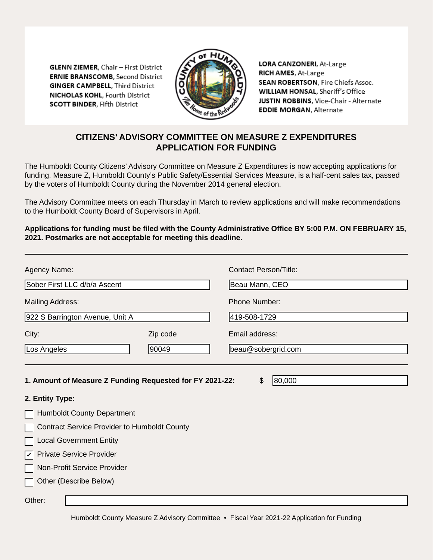**GLENN ZIEMER, Chair - First District ERNIE BRANSCOMB.** Second District **GINGER CAMPBELL, Third District NICHOLAS KOHL, Fourth District SCOTT BINDER, Fifth District** 



LORA CANZONERI, At-Large RICH AMES, At-Large SEAN ROBERTSON, Fire Chiefs Assoc. WILLIAM HONSAL, Sheriff's Office JUSTIN ROBBINS, Vice-Chair - Alternate **EDDIE MORGAN, Alternate** 

# **CITIZENS' ADVISORY COMMITTEE ON MEASURE Z EXPENDITURES APPLICATION FOR FUNDING**

The Humboldt County Citizens' Advisory Committee on Measure Z Expenditures is now accepting applications for funding. Measure Z, Humboldt County's Public Safety/Essential Services Measure, is a half-cent sales tax, passed by the voters of Humboldt County during the November 2014 general election.

The Advisory Committee meets on each Thursday in March to review applications and will make recommendations to the Humboldt County Board of Supervisors in April.

**Applications for funding must be filed with the County Administrative Office BY 5:00 P.M. ON FEBRUARY 15, 2021. Postmarks are not acceptable for meeting this deadline.**

| Agency Name:                                             |          | Contact Person/Title:                  |  |  |  |  |
|----------------------------------------------------------|----------|----------------------------------------|--|--|--|--|
| Sober First LLC d/b/a Ascent                             |          | Beau Mann, CEO<br><b>Phone Number:</b> |  |  |  |  |
| <b>Mailing Address:</b>                                  |          |                                        |  |  |  |  |
| 922 S Barrington Avenue, Unit A                          |          | 419-508-1729                           |  |  |  |  |
| City:                                                    | Zip code | Email address:                         |  |  |  |  |
| Los Angeles                                              | 90049    | beau@sobergrid.com                     |  |  |  |  |
|                                                          |          |                                        |  |  |  |  |
| 1. Amount of Measure Z Funding Requested for FY 2021-22: |          | 80,000<br>\$                           |  |  |  |  |
| 2. Entity Type:<br><b>Humboldt County Department</b>     |          |                                        |  |  |  |  |
| <b>Contract Service Provider to Humboldt County</b>      |          |                                        |  |  |  |  |
| <b>Local Government Entity</b>                           |          |                                        |  |  |  |  |
| <b>Private Service Provider</b><br>$ \boldsymbol{v} $    |          |                                        |  |  |  |  |
| Non-Profit Service Provider                              |          |                                        |  |  |  |  |
| Other (Describe Below)                                   |          |                                        |  |  |  |  |
| Other:                                                   |          |                                        |  |  |  |  |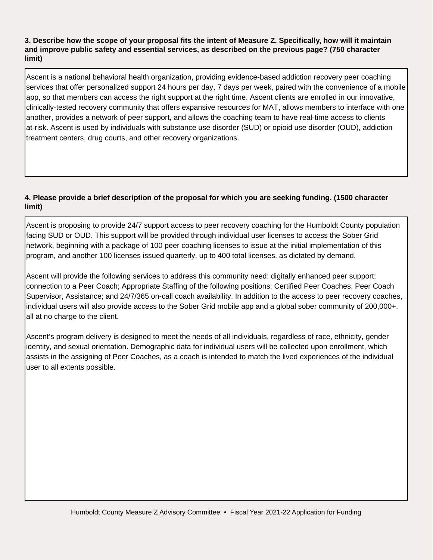## **3. Describe how the scope of your proposal fits the intent of Measure Z. Specifically, how will it maintain and improve public safety and essential services, as described on the previous page? (750 character limit)**

Ascent is a national behavioral health organization, providing evidence-based addiction recovery peer coaching services that offer personalized support 24 hours per day, 7 days per week, paired with the convenience of a mobile app, so that members can access the right support at the right time. Ascent clients are enrolled in our innovative, clinically-tested recovery community that offers expansive resources for MAT, allows members to interface with one another, provides a network of peer support, and allows the coaching team to have real-time access to clients at-risk. Ascent is used by individuals with substance use disorder (SUD) or opioid use disorder (OUD), addiction treatment centers, drug courts, and other recovery organizations.

## **4. Please provide a brief description of the proposal for which you are seeking funding. (1500 character limit)**

Ascent is proposing to provide 24/7 support access to peer recovery coaching for the Humboldt County population facing SUD or OUD. This support will be provided through individual user licenses to access the Sober Grid network, beginning with a package of 100 peer coaching licenses to issue at the initial implementation of this program, and another 100 licenses issued quarterly, up to 400 total licenses, as dictated by demand.

Ascent will provide the following services to address this community need: digitally enhanced peer support; connection to a Peer Coach; Appropriate Staffing of the following positions: Certified Peer Coaches, Peer Coach Supervisor, Assistance; and 24/7/365 on-call coach availability. In addition to the access to peer recovery coaches, individual users will also provide access to the Sober Grid mobile app and a global sober community of 200,000+, all at no charge to the client.

Ascent's program delivery is designed to meet the needs of all individuals, regardless of race, ethnicity, gender identity, and sexual orientation. Demographic data for individual users will be collected upon enrollment, which assists in the assigning of Peer Coaches, as a coach is intended to match the lived experiences of the individual user to all extents possible.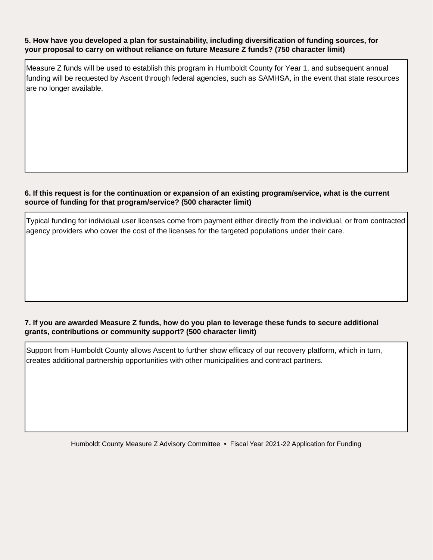#### **5. How have you developed a plan for sustainability, including diversification of funding sources, for your proposal to carry on without reliance on future Measure Z funds? (750 character limit)**

Measure Z funds will be used to establish this program in Humboldt County for Year 1, and subsequent annual funding will be requested by Ascent through federal agencies, such as SAMHSA, in the event that state resources

# **6. If this request is for the continuation or expansion of an existing program/service, what is the current source of funding for that program/service? (500 character limit)** are no longer available.<br>
S. If this request is for the continuation or expansion of an existing program/service, what is the current<br>
source of funding for that program/service? (500 character limit)<br>
Typical funding for

agency providers who cover the cost of the licenses for the targeted populations under their care.

## **7. If you are awarded Measure Z funds, how do you plan to leverage these funds to secure additional grants, contributions or community support? (500 character limit)**

Support from Humboldt County allows Ascent to further show efficacy of our recovery platform, which in turn, creates additional partnership opportunities with other municipalities and contract partners.

Humboldt County Measure Z Advisory Committee • Fiscal Year 2021-22 Application for Funding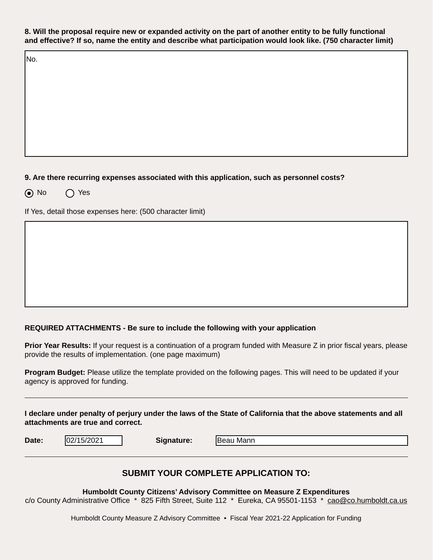**8. Will the proposal require new or expanded activity on the part of another entity to be fully functional and effective? If so, name the entity and describe what participation would look like. (750 character limit)**

No.

## **9. Are there recurring expenses associated with this application, such as personnel costs?**

**A** No ∧ Yes

If Yes, detail those expenses here: (500 character limit)

#### **REQUIRED ATTACHMENTS - Be sure to include the following with your application**

**Prior Year Results:** If your request is a continuation of a program funded with Measure Z in prior fiscal years, please provide the results of implementation. (one page maximum)

**Program Budget:** Please utilize the template provided on the following pages. This will need to be updated if your agency is approved for funding.

**I declare under penalty of perjury under the laws of the State of California that the above statements and all attachments are true and correct.**

**Date:**  $|02/15/2021|$  **Signature:** 

Beau Mann

## **SUBMIT YOUR COMPLETE APPLICATION TO:**

**Humboldt County Citizens' Advisory Committee on Measure Z Expenditures** 

c/o County Administrative Office \* 825 Fifth Street, Suite 112 \* Eureka, CA 95501-1153 \* cao@co.humboldt.ca.us

Humboldt County Measure Z Advisory Committee • Fiscal Year 2021-22 Application for Funding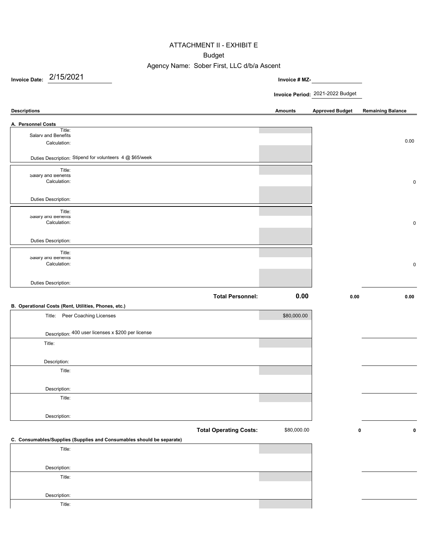#### ATTACHMENT II - EXHIBIT E

#### Budget

## Agency Name: Sober First, LLC d/b/a Ascent

**Invoice Date: Invoice # MZ-**2/15/2021

**Invoice Period:** 2021-2022 Budget

#### **Descriptions Amounts Approved Budget Remaining Balance**

| A. Personnel Costs                                                              |                               |             |      |             |
|---------------------------------------------------------------------------------|-------------------------------|-------------|------|-------------|
| Title:<br>Salarv and Benefits                                                   |                               |             |      |             |
| Calculation:                                                                    |                               |             |      | 0.00        |
| Duties Description: Stipend for volunteers 4 @ \$65/week                        |                               |             |      |             |
| Title:                                                                          |                               |             |      |             |
| Salary and Benetits<br>Calculation:                                             |                               |             |      | $\mathbf 0$ |
|                                                                                 |                               |             |      |             |
| Duties Description:                                                             |                               |             |      |             |
| Title:<br>Salary and Benetits                                                   |                               |             |      |             |
| Calculation:                                                                    |                               |             |      | $\mathbf 0$ |
|                                                                                 |                               |             |      |             |
| Duties Description:                                                             |                               |             |      |             |
| Title:<br>Salary and Benetits                                                   |                               |             |      |             |
| Calculation:                                                                    |                               |             |      | $\mathbf 0$ |
|                                                                                 |                               |             |      |             |
| <b>Duties Description:</b>                                                      |                               |             |      |             |
|                                                                                 | <b>Total Personnel:</b>       | 0.00        | 0.00 | 0.00        |
| B. Operational Costs (Rent, Utilities, Phones, etc.)                            |                               |             |      |             |
| Title: Peer Coaching Licenses                                                   |                               | \$80,000.00 |      |             |
|                                                                                 |                               |             |      |             |
| Description: 400 user licenses x \$200 per license                              |                               |             |      |             |
| Title:                                                                          |                               |             |      |             |
|                                                                                 |                               |             |      |             |
| Description:                                                                    |                               |             |      |             |
|                                                                                 |                               |             |      |             |
| Title:                                                                          |                               |             |      |             |
|                                                                                 |                               |             |      |             |
| Description:                                                                    |                               |             |      |             |
| Title:                                                                          |                               |             |      |             |
|                                                                                 |                               |             |      |             |
| Description:                                                                    |                               |             |      |             |
|                                                                                 | <b>Total Operating Costs:</b> | \$80,000.00 | 0    |             |
|                                                                                 |                               |             |      |             |
| Title:                                                                          |                               |             |      |             |
|                                                                                 |                               |             |      |             |
| Description:                                                                    |                               |             |      |             |
| C. Consumables/Supplies (Supplies and Consumables should be separate)<br>Title: |                               |             |      | 0           |

Title: Description: